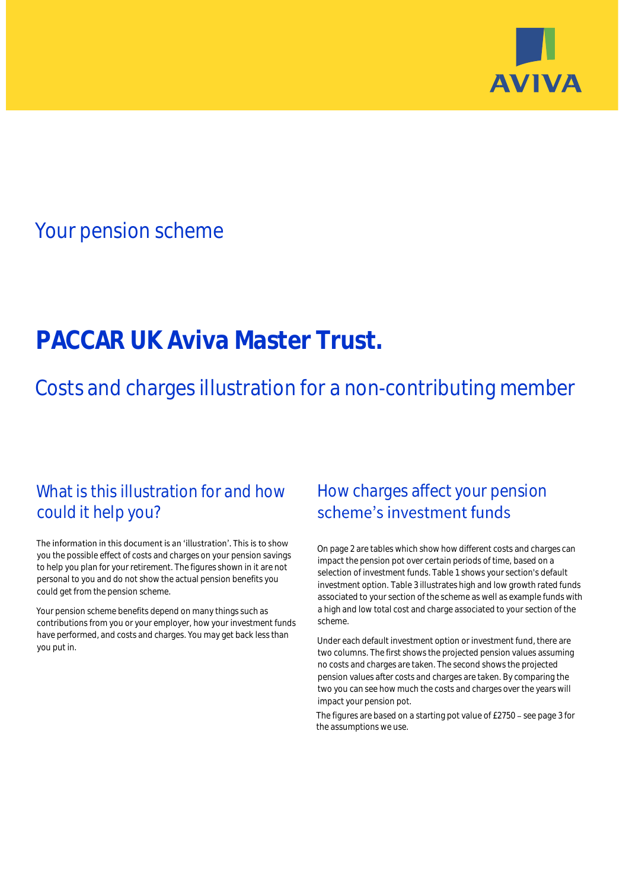

## Your pension scheme

# **PACCAR UK Aviva Master Trust.**

Costs and charges illustration for a non-contributing member

### What is this illustration for and how could it help you?

#### The information in this document is an 'illustration'. This is to show you the possible effect of costs and charges on your pension savings to help you plan for your retirement. The figures shown in it are not personal to you and do not show the actual pension benefits you could get from the pension scheme.

Your pension scheme benefits depend on many things such as contributions from you or your employer, how your investment funds have performed, and costs and charges. You may get back less than you put in.

### How charges affect your pension scheme's investment funds

On page 2 are tables which show how different costs and charges can impact the pension pot over certain periods of time, based on a selection of investment funds. Table 1 shows your section's default investment option. Table 3 illustrates high and low growth rated funds associated to your section of the scheme as well as example funds with a high and low total cost and charge associated to your section of the scheme.

Under each default investment option or investment fund, there are two columns. The first shows the projected pension values assuming no costs and charges are taken. The second shows the projected pension values after costs and charges are taken. By comparing the two you can see how much the costs and charges over the years will impact your pension pot.

The figures are based on a starting pot value of  $£2750 -$  see page 3 for the assumptions we use.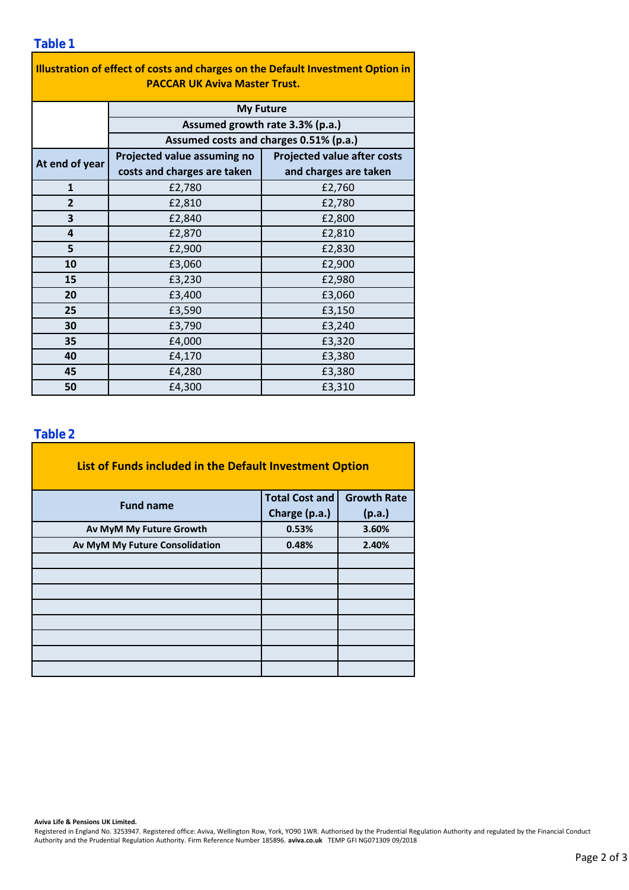| Illustration of effect of costs and charges on the Default Investment Option in |                                                                           |                       |  |  |  |  |  |  |  |
|---------------------------------------------------------------------------------|---------------------------------------------------------------------------|-----------------------|--|--|--|--|--|--|--|
| <b>PACCAR UK Aviva Master Trust.</b>                                            |                                                                           |                       |  |  |  |  |  |  |  |
|                                                                                 | <b>My Future</b>                                                          |                       |  |  |  |  |  |  |  |
|                                                                                 | Assumed growth rate 3.3% (p.a.)<br>Assumed costs and charges 0.51% (p.a.) |                       |  |  |  |  |  |  |  |
|                                                                                 |                                                                           |                       |  |  |  |  |  |  |  |
|                                                                                 | Projected value assuming no<br><b>Projected value after costs</b>         |                       |  |  |  |  |  |  |  |
| At end of year                                                                  | costs and charges are taken                                               | and charges are taken |  |  |  |  |  |  |  |
| $\mathbf{1}$                                                                    | £2,780                                                                    | £2,760                |  |  |  |  |  |  |  |
| $\overline{2}$                                                                  | £2,810                                                                    | £2,780                |  |  |  |  |  |  |  |
| 3                                                                               | £2,840                                                                    | £2,800                |  |  |  |  |  |  |  |
| 4                                                                               | £2,870                                                                    | £2,810                |  |  |  |  |  |  |  |
| 5                                                                               | £2,900                                                                    | £2,830                |  |  |  |  |  |  |  |
| 10                                                                              | £3,060                                                                    | £2,900                |  |  |  |  |  |  |  |
| 15                                                                              | £3,230                                                                    | £2,980                |  |  |  |  |  |  |  |
| 20                                                                              | £3,400                                                                    | £3,060                |  |  |  |  |  |  |  |
| 25                                                                              | £3,590                                                                    | £3,150                |  |  |  |  |  |  |  |
| 30                                                                              | £3,790                                                                    | £3,240                |  |  |  |  |  |  |  |
| 35                                                                              | £4,000                                                                    | £3,320                |  |  |  |  |  |  |  |
| 40                                                                              | £4,170                                                                    | £3,380                |  |  |  |  |  |  |  |
| 45                                                                              | £4,280                                                                    | £3,380                |  |  |  |  |  |  |  |
| 50                                                                              | £4,300                                                                    | £3,310                |  |  |  |  |  |  |  |

#### **Table 2**

| List of Funds included in the Default Investment Option |                       |                    |  |  |  |  |  |  |
|---------------------------------------------------------|-----------------------|--------------------|--|--|--|--|--|--|
| <b>Fund name</b>                                        | <b>Total Cost and</b> | <b>Growth Rate</b> |  |  |  |  |  |  |
|                                                         | Charge (p.a.)         | (p.a.)             |  |  |  |  |  |  |
| Av MyM My Future Growth                                 | 0.53%                 | 3.60%              |  |  |  |  |  |  |
| Av MyM My Future Consolidation                          | 0.48%                 | 2.40%              |  |  |  |  |  |  |
|                                                         |                       |                    |  |  |  |  |  |  |
|                                                         |                       |                    |  |  |  |  |  |  |
|                                                         |                       |                    |  |  |  |  |  |  |
|                                                         |                       |                    |  |  |  |  |  |  |
|                                                         |                       |                    |  |  |  |  |  |  |
|                                                         |                       |                    |  |  |  |  |  |  |
|                                                         |                       |                    |  |  |  |  |  |  |
|                                                         |                       |                    |  |  |  |  |  |  |

**Aviva Life & Pensions UK Limited.**

Registered in England No. 3253947. Registered office: Aviva, Wellington Row, York, YO90 1WR. Authorised by the Prudential Regulation Authority and regulated by the Financial Conduct Authority and the Prudential Regulation Authority. Firm Reference Number 185896. **aviva.co.uk** TEMP GFI NG071309 09/2018